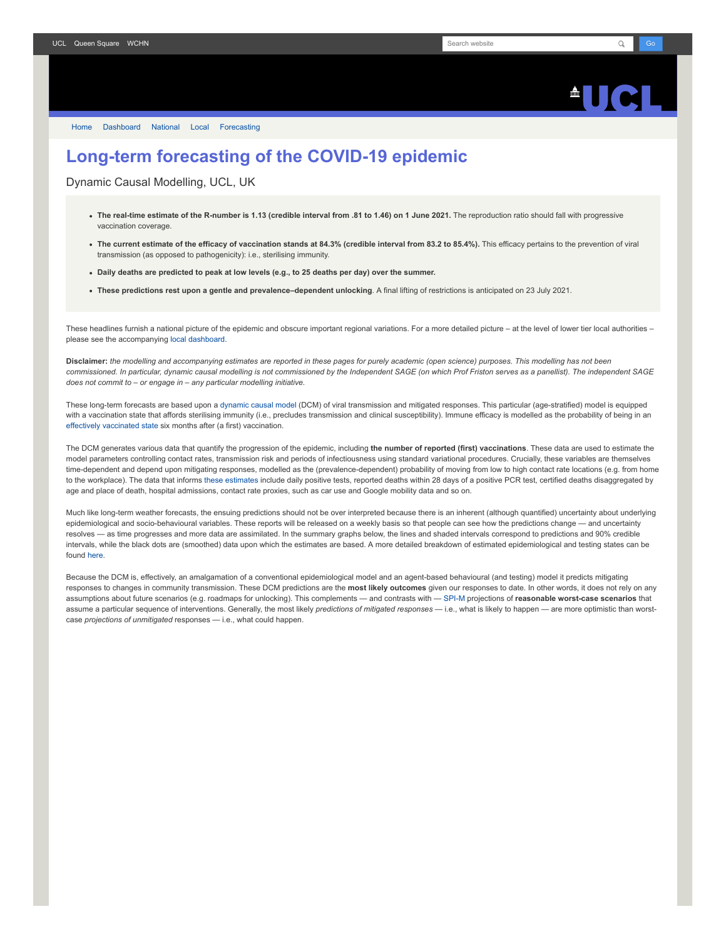

[Home](https://www.fil.ion.ucl.ac.uk/spm/covid-19/) [Dashboard](https://www.fil.ion.ucl.ac.uk/spm/covid-19/dashboard/) [National](https://www.fil.ion.ucl.ac.uk/spm/covid-19/dashboard/) [Local](https://www.fil.ion.ucl.ac.uk/spm/covid-19/dashboard/local/) [Forecasting](https://www.fil.ion.ucl.ac.uk/spm/covid-19/forecasting/)

## **Long-term forecasting of the COVID-19 epidemic**

Dynamic Causal Modelling, UCL, UK

- **The real-time estimate of the R-number is 1.13 (credible interval from .81 to 1.46) on 1 June 2021.** The reproduction ratio should fall with progressive vaccination coverage.
- The current estimate of the efficacy of vaccination stands at 84.3% (credible interval from 83.2 to 85.4%). This efficacy pertains to the prevention of viral transmission (as opposed to pathogenicity): i.e., sterilising immunity.
- **Daily deaths are predicted to peak at low levels (e.g., to 25 deaths per day) over the summer.**
- **These predictions rest upon a gentle and prevalence–dependent unlocking**. A final lifting of restrictions is anticipated on 23 July 2021.

These headlines furnish a national picture of the epidemic and obscure important regional variations. For a more detailed picture – at the level of lower tier local authorities – please see the accompanying [local dashboard.](https://www.fil.ion.ucl.ac.uk/spm/covid-19/dashboard/local/)

**Disclaimer:** *the modelling and accompanying estimates are reported in these pages for purely academic (open science) purposes. This modelling has not been commissioned. In particular, dynamic causal modelling is not commissioned by the Independent SAGE (on which Prof Friston serves as a panellist). The independent SAGE does not commit to – or engage in – any particular modelling initiative.*

These long-term forecasts are based upon a [dynamic causal model](https://www.fil.ion.ucl.ac.uk/spm/covid-19) (DCM) of viral transmission and mitigated responses. This particular (age-stratified) model is equipped with a vaccination state that affords sterilising immunity (i.e., precludes transmission and clinical susceptibility). Immune efficacy is modelled as the probability of being in an [effectively vaccinated state](https://www.medrxiv.org/content/10.1101/2021.01.10.21249520v1) six months after (a first) vaccination.

The DCM generates various data that quantify the progression of the epidemic, including **the number of reported (first) vaccinations**. These data are used to estimate the model parameters controlling contact rates, transmission risk and periods of infectiousness using standard variational procedures. Crucially, these variables are themselves time-dependent and depend upon mitigating responses, modelled as the (prevalence-dependent) probability of moving from low to high contact rate locations (e.g. from home to the workplace). The data that informs [these estimates](https://www.fil.ion.ucl.ac.uk/spm/covid-19/dashboard/) include daily positive tests, reported deaths within 28 days of a positive PCR test, certified deaths disaggregated by age and place of death, hospital admissions, contact rate proxies, such as car use and Google mobility data and so on.

Much like long-term weather forecasts, the ensuing predictions should not be over interpreted because there is an inherent (although quantified) uncertainty about underlying epidemiological and socio-behavioural variables. These reports will be released on a weekly basis so that people can see how the predictions change — and uncertainty resolves — as time progresses and more data are assimilated. In the summary graphs below, the lines and shaded intervals correspond to predictions and 90% credible intervals, while the black dots are (smoothed) data upon which the estimates are based. A more detailed breakdown of estimated epidemiological and testing states can be found [here.](https://www.fil.ion.ucl.ac.uk/spm/covid-19/dashboard/)

Because the DCM is, effectively, an amalgamation of a conventional epidemiological model and an agent-based behavioural (and testing) model it predicts mitigating responses to changes in community transmission. These DCM predictions are the **most likely outcomes** given our responses to date. In other words, it does not rely on any assumptions about future scenarios (e.g. roadmaps for unlocking). This complements — and contrasts with — [SPI-M](https://www.gov.uk/government/groups/scientific-pandemic-influenza-subgroup-on-modelling) projections of **reasonable worst-case scenarios** that assume a particular sequence of interventions. Generally, the most likely *predictions of mitigated responses* — i.e., what is likely to happen — are more optimistic than worstcase *projections of unmitigated* responses — i.e., what could happen.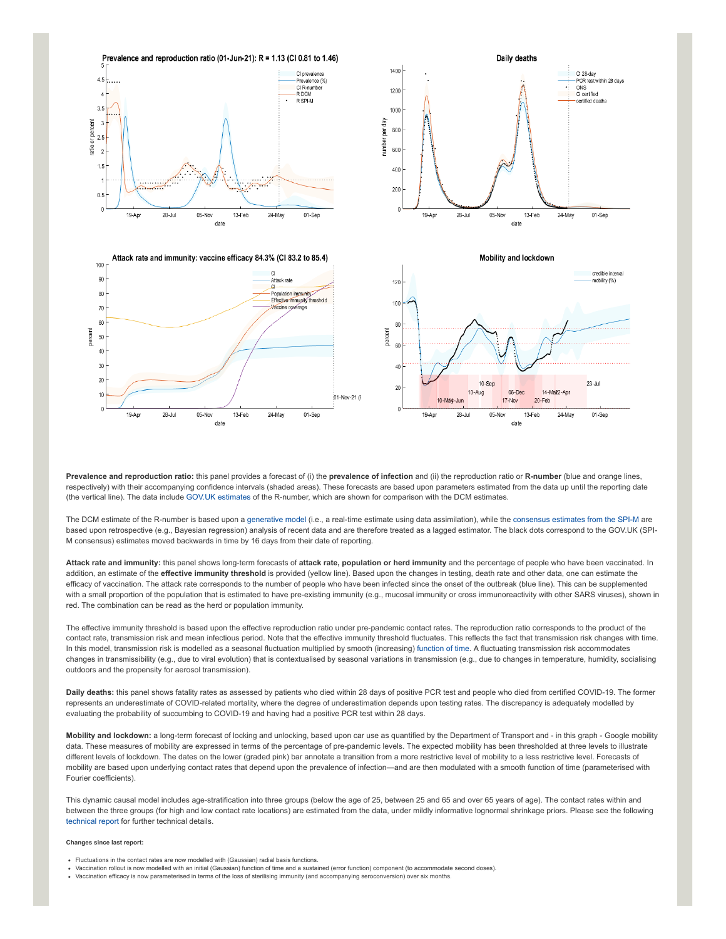

**Prevalence and reproduction ratio:** this panel provides a forecast of (i) the **prevalence of infection** and (ii) the reproduction ratio or **R-number** (blue and orange lines, respectively) with their accompanying confidence intervals (shaded areas). These forecasts are based upon parameters estimated from the data up until the reporting date (the vertical line). The data include [GOV.UK estimates](https://www.gov.uk/guidance/the-r-number-in-the-uk#latest-r-and-growth-rate) of the R-number, which are shown for comparison with the DCM estimates.

The DCM estimate of the R-number is based upon a [generative model](https://en.wikipedia.org/wiki/Generative_model) (i.e., a real-time estimate using data assimilation), while the [consensus estimates from the SPI-M](https://www.gov.uk/guidance/the-r-number-in-the-uk#contents) are based upon retrospective (e.g., Bayesian regression) analysis of recent data and are therefore treated as a lagged estimator. The black dots correspond to the GOV.UK (SPI-M consensus) estimates moved backwards in time by 16 days from their date of reporting.

**Attack rate and immunity:** this panel shows long-term forecasts of **attack rate, population or herd immunity** and the percentage of people who have been vaccinated. In addition, an estimate of the effective immunity threshold is provided (yellow line). Based upon the changes in testing, death rate and other data, one can estimate the efficacy of vaccination. The attack rate corresponds to the number of people who have been infected since the onset of the outbreak (blue line). This can be supplemented with a small proportion of the population that is estimated to have pre-existing immunity (e.g., mucosal immunity or cross immunoreactivity with other SARS viruses), shown in red. The combination can be read as the herd or population immunity.

The effective immunity threshold is based upon the effective reproduction ratio under pre-pandemic contact rates. The reproduction ratio corresponds to the product of the contact rate, transmission risk and mean infectious period. Note that the effective immunity threshold fluctuates. This reflects the fact that transmission risk changes with time. In this model, transmission risk is modelled as a seasonal fluctuation multiplied by smooth (increasing) [function of time.](https://www.medrxiv.org/content/10.1101/2021.01.10.21249520v1) A fluctuating transmission risk accommodates changes in transmissibility (e.g., due to viral evolution) that is contextualised by seasonal variations in transmission (e.g., due to changes in temperature, humidity, socialising outdoors and the propensity for aerosol transmission).

**Daily deaths:** this panel shows fatality rates as assessed by patients who died within 28 days of positive PCR test and people who died from certified COVID-19. The former represents an underestimate of COVID-related mortality, where the degree of underestimation depends upon testing rates. The discrepancy is adequately modelled by evaluating the probability of succumbing to COVID-19 and having had a positive PCR test within 28 days.

**Mobility and lockdown:** a long-term forecast of locking and unlocking, based upon car use as quantified by the Department of Transport and - in this graph - Google mobility data. These measures of mobility are expressed in terms of the percentage of pre-pandemic levels. The expected mobility has been thresholded at three levels to illustrate different levels of lockdown. The dates on the lower (graded pink) bar annotate a transition from a more restrictive level of mobility to a less restrictive level. Forecasts of mobility are based upon underlying contact rates that depend upon the prevalence of infection—and are then modulated with a smooth function of time (parameterised with Fourier coefficients).

This dynamic causal model includes age-stratification into three groups (below the age of 25, between 25 and 65 and over 65 years of age). The contact rates within and between the three groups (for high and low contact rate locations) are estimated from the data, under mildly informative lognormal shrinkage priors. Please see the following [technical report](https://arxiv.org/abs/2011.12400) for further technical details.

## **Changes since last report:**

- Fluctuations in the contact rates are now modelled with (Gaussian) radial basis functions.
- Vaccination rollout is now modelled with an initial (Gaussian) function of time and a sustained (error function) component (to accommodate second doses).
- Vaccination efficacy is now parameterised in terms of the loss of sterilising immunity (and accompanying seroconversion) over six months.